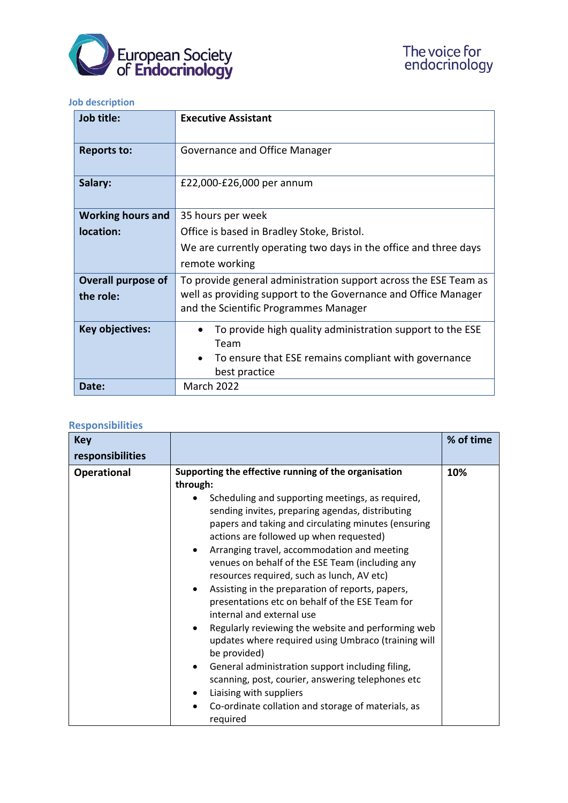

## **Job description**

| Job title:                | <b>Executive Assistant</b>                                        |
|---------------------------|-------------------------------------------------------------------|
| <b>Reports to:</b>        | Governance and Office Manager                                     |
| Salary:                   | £22,000-£26,000 per annum                                         |
| <b>Working hours and</b>  | 35 hours per week                                                 |
| location:                 | Office is based in Bradley Stoke, Bristol.                        |
|                           | We are currently operating two days in the office and three days  |
|                           | remote working                                                    |
| <b>Overall purpose of</b> | To provide general administration support across the ESE Team as  |
| the role:                 | well as providing support to the Governance and Office Manager    |
|                           | and the Scientific Programmes Manager                             |
| <b>Key objectives:</b>    | To provide high quality administration support to the ESE<br>Team |
|                           | To ensure that ESE remains compliant with governance              |
|                           | best practice                                                     |
| Date:                     | <b>March 2022</b>                                                 |

## **Responsibilities**

| <b>Key</b>         |                                                                                                                                                                                                                                                                                                                                                                                                                                                                                                                                                                                                                                                                                                                                                                                                                                                                                                        | % of time |
|--------------------|--------------------------------------------------------------------------------------------------------------------------------------------------------------------------------------------------------------------------------------------------------------------------------------------------------------------------------------------------------------------------------------------------------------------------------------------------------------------------------------------------------------------------------------------------------------------------------------------------------------------------------------------------------------------------------------------------------------------------------------------------------------------------------------------------------------------------------------------------------------------------------------------------------|-----------|
| responsibilities   |                                                                                                                                                                                                                                                                                                                                                                                                                                                                                                                                                                                                                                                                                                                                                                                                                                                                                                        |           |
| <b>Operational</b> | Supporting the effective running of the organisation<br>through:<br>Scheduling and supporting meetings, as required,<br>sending invites, preparing agendas, distributing<br>papers and taking and circulating minutes (ensuring<br>actions are followed up when requested)<br>Arranging travel, accommodation and meeting<br>venues on behalf of the ESE Team (including any<br>resources required, such as lunch, AV etc)<br>Assisting in the preparation of reports, papers,<br>presentations etc on behalf of the ESE Team for<br>internal and external use<br>Regularly reviewing the website and performing web<br>updates where required using Umbraco (training will<br>be provided)<br>General administration support including filing,<br>٠<br>scanning, post, courier, answering telephones etc<br>Liaising with suppliers<br>Co-ordinate collation and storage of materials, as<br>required | 10%       |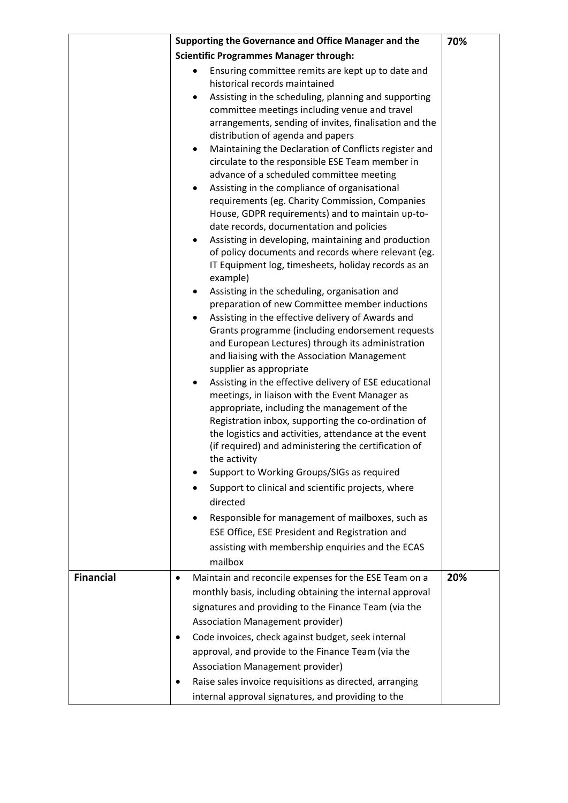|                  | Supporting the Governance and Office Manager and the                                                                                                                                                                                                                                                                                                          | 70% |
|------------------|---------------------------------------------------------------------------------------------------------------------------------------------------------------------------------------------------------------------------------------------------------------------------------------------------------------------------------------------------------------|-----|
|                  | <b>Scientific Programmes Manager through:</b>                                                                                                                                                                                                                                                                                                                 |     |
|                  | Ensuring committee remits are kept up to date and<br>historical records maintained                                                                                                                                                                                                                                                                            |     |
|                  | Assisting in the scheduling, planning and supporting<br>$\bullet$<br>committee meetings including venue and travel<br>arrangements, sending of invites, finalisation and the<br>distribution of agenda and papers                                                                                                                                             |     |
|                  | Maintaining the Declaration of Conflicts register and<br>٠<br>circulate to the responsible ESE Team member in<br>advance of a scheduled committee meeting                                                                                                                                                                                                     |     |
|                  | Assisting in the compliance of organisational<br>٠<br>requirements (eg. Charity Commission, Companies<br>House, GDPR requirements) and to maintain up-to-<br>date records, documentation and policies                                                                                                                                                         |     |
|                  | Assisting in developing, maintaining and production<br>of policy documents and records where relevant (eg.<br>IT Equipment log, timesheets, holiday records as an<br>example)                                                                                                                                                                                 |     |
|                  | Assisting in the scheduling, organisation and<br>٠<br>preparation of new Committee member inductions<br>Assisting in the effective delivery of Awards and                                                                                                                                                                                                     |     |
|                  | Grants programme (including endorsement requests<br>and European Lectures) through its administration<br>and liaising with the Association Management<br>supplier as appropriate                                                                                                                                                                              |     |
|                  | Assisting in the effective delivery of ESE educational<br>$\bullet$<br>meetings, in liaison with the Event Manager as<br>appropriate, including the management of the<br>Registration inbox, supporting the co-ordination of<br>the logistics and activities, attendance at the event<br>(if required) and administering the certification of<br>the activity |     |
|                  | Support to Working Groups/SIGs as required<br>Support to clinical and scientific projects, where<br>directed                                                                                                                                                                                                                                                  |     |
|                  | Responsible for management of mailboxes, such as<br>ESE Office, ESE President and Registration and<br>assisting with membership enquiries and the ECAS                                                                                                                                                                                                        |     |
|                  | mailbox                                                                                                                                                                                                                                                                                                                                                       |     |
| <b>Financial</b> | Maintain and reconcile expenses for the ESE Team on a<br>$\bullet$<br>monthly basis, including obtaining the internal approval<br>signatures and providing to the Finance Team (via the                                                                                                                                                                       | 20% |
|                  | Association Management provider)<br>Code invoices, check against budget, seek internal<br>$\bullet$<br>approval, and provide to the Finance Team (via the<br>Association Management provider)<br>Raise sales invoice requisitions as directed, arranging<br>$\bullet$<br>internal approval signatures, and providing to the                                   |     |